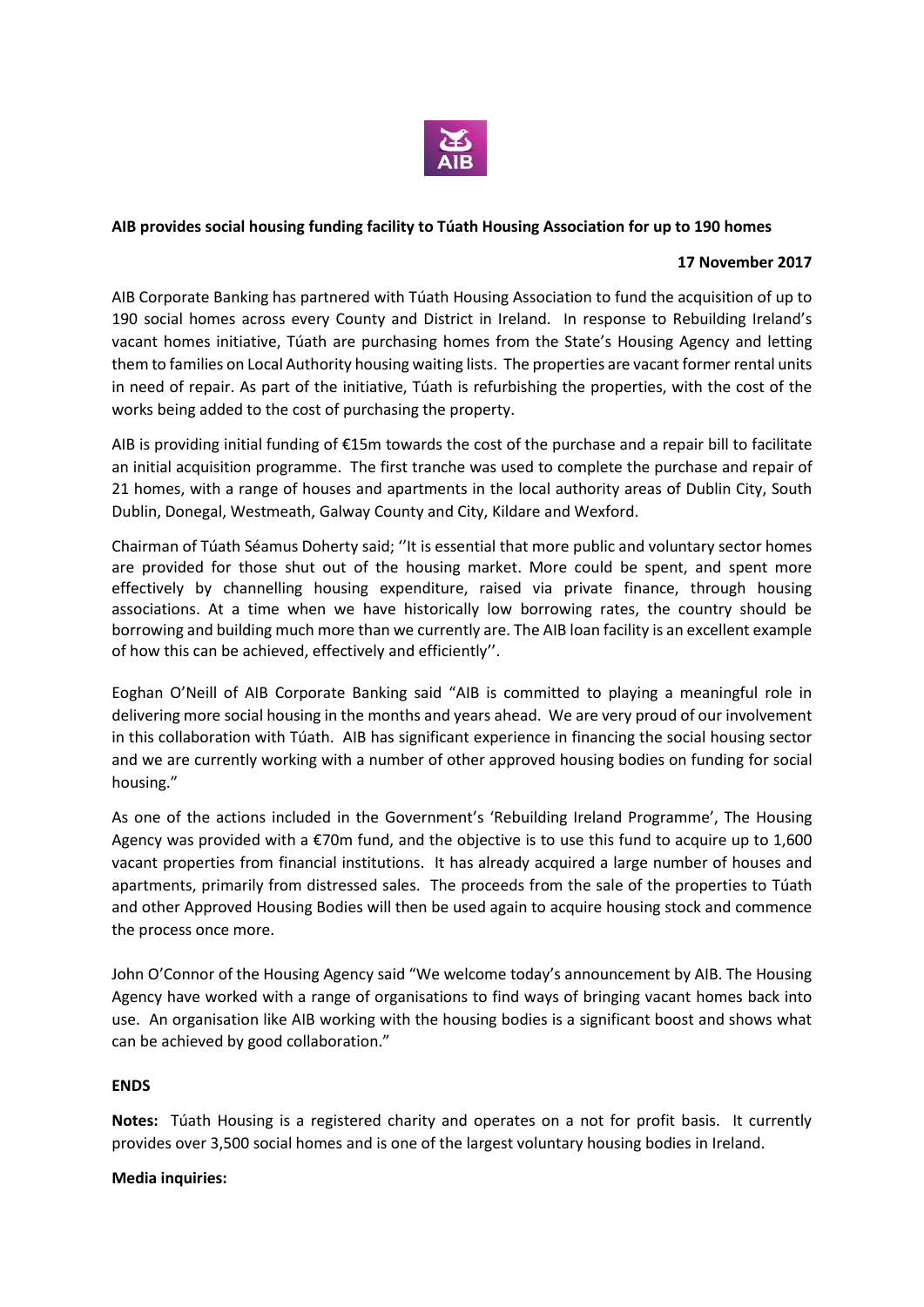

## **AIB provides social housing funding facility to Túath Housing Association for up to 190 homes**

## **17 November 2017**

AIB Corporate Banking has partnered with Túath Housing Association to fund the acquisition of up to 190 social homes across every County and District in Ireland. In response to Rebuilding Ireland's vacant homes initiative, Túath are purchasing homes from the State's Housing Agency and letting them to families on Local Authority housing waiting lists. The properties are vacant former rental units in need of repair. As part of the initiative, Túath is refurbishing the properties, with the cost of the works being added to the cost of purchasing the property.

AIB is providing initial funding of €15m towards the cost of the purchase and a repair bill to facilitate an initial acquisition programme. The first tranche was used to complete the purchase and repair of 21 homes, with a range of houses and apartments in the local authority areas of Dublin City, South Dublin, Donegal, Westmeath, Galway County and City, Kildare and Wexford.

Chairman of Túath Séamus Doherty said; ''It is essential that more public and voluntary sector homes are provided for those shut out of the housing market. More could be spent, and spent more effectively by channelling housing expenditure, raised via private finance, through housing associations. At a time when we have historically low borrowing rates, the country should be borrowing and building much more than we currently are. The AIB loan facility is an excellent example of how this can be achieved, effectively and efficiently''.

Eoghan O'Neill of AIB Corporate Banking said "AIB is committed to playing a meaningful role in delivering more social housing in the months and years ahead. We are very proud of our involvement in this collaboration with Túath. AIB has significant experience in financing the social housing sector and we are currently working with a number of other approved housing bodies on funding for social housing."

As one of the actions included in the Government's 'Rebuilding Ireland Programme', The Housing Agency was provided with a  $\epsilon$ 70m fund, and the objective is to use this fund to acquire up to 1,600 vacant properties from financial institutions. It has already acquired a large number of houses and apartments, primarily from distressed sales. The proceeds from the sale of the properties to Túath and other Approved Housing Bodies will then be used again to acquire housing stock and commence the process once more.

John O'Connor of the Housing Agency said "We welcome today's announcement by AIB. The Housing Agency have worked with a range of organisations to find ways of bringing vacant homes back into use. An organisation like AIB working with the housing bodies is a significant boost and shows what can be achieved by good collaboration."

## **ENDS**

**Notes:** Túath Housing is a registered charity and operates on a not for profit basis. It currently provides over 3,500 social homes and is one of the largest voluntary housing bodies in Ireland.

## **Media inquiries:**